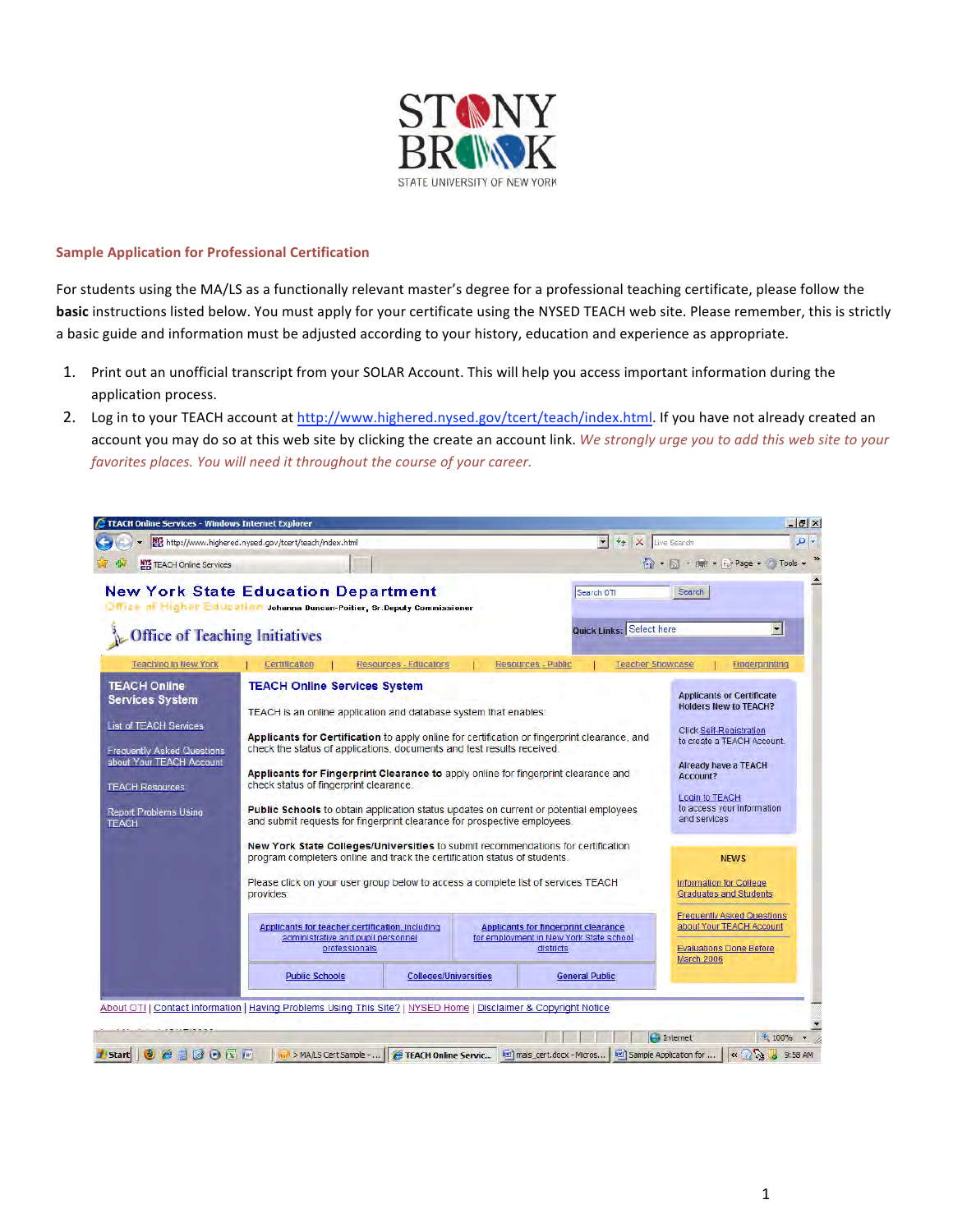

## **Sample
Application
for
Professional
Certification**

For students using the MA/LS as a functionally relevant master's degree for a professional teaching certificate, please follow the **basic** instructions listed below. You must apply for your certificate using the NYSED TEACH web site. Please remember, this is strictly a basic guide and information must be adjusted according to your history, education and experience as appropriate.

- 1. Print out an unofficial transcript from your SOLAR Account. This will help you access important information during the application
process.
- 2. Log in to your TEACH account at http://www.highered.nysed.gov/tcert/teach/index.html. If you have not already created an account you may do so at this web site by clicking the create an account link. We strongly urge you to add this web site to your *favorites
places.
You
will
need
it
throughout
the
course
of
your
career.*

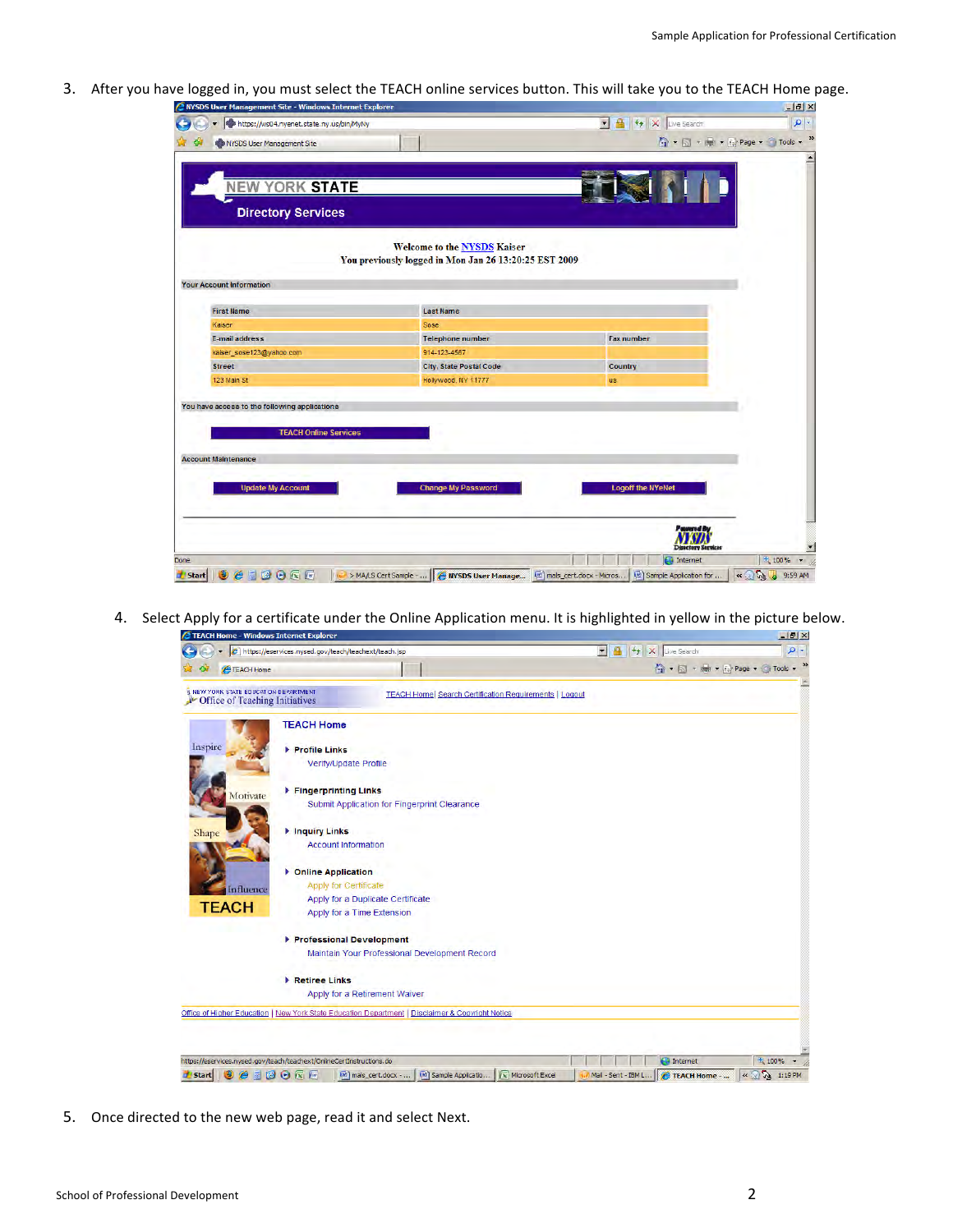3. After you have logged in, you must select the TEACH online services button. This will take you to the TEACH Home page.

| A NYSDS User Management Site - Windows Internet Explorer                                                    |                                                                                             |                                                                                                                                                    |
|-------------------------------------------------------------------------------------------------------------|---------------------------------------------------------------------------------------------|----------------------------------------------------------------------------------------------------------------------------------------------------|
| https://ws04.nyenet.state.ny.us/bin/MyNy                                                                    |                                                                                             | V 4 X Live Search                                                                                                                                  |
| <b>SINYSDS User Management Site</b>                                                                         |                                                                                             | $\overrightarrow{m}$ + $\overrightarrow{m}$ + $\overrightarrow{m}$ + $\overrightarrow{m}$ Page + $\overrightarrow{m}$ Tools + $\overrightarrow{m}$ |
| <b>NEW YORK STATE</b>                                                                                       |                                                                                             |                                                                                                                                                    |
| <b>Directory Services</b>                                                                                   |                                                                                             |                                                                                                                                                    |
|                                                                                                             | <b>Welcome to the NYSDS Kaiser</b><br>You previously logged in Mon Jan 26 13:20:25 EST 2009 |                                                                                                                                                    |
| <b>Your Account Information</b>                                                                             |                                                                                             |                                                                                                                                                    |
| <b>First Name</b>                                                                                           | <b>Last Name</b>                                                                            |                                                                                                                                                    |
| Kaiser                                                                                                      | Sose                                                                                        |                                                                                                                                                    |
| E-mail address                                                                                              | <b>Telephone number</b>                                                                     | <b>Fax number</b>                                                                                                                                  |
| kaiser_sose123@yahoo.com                                                                                    | 914-123-4567                                                                                |                                                                                                                                                    |
| <b>Street</b>                                                                                               | City, State Postal Code                                                                     | Country                                                                                                                                            |
| 123 Main St                                                                                                 | Hollywood, NY 11777                                                                         | us.                                                                                                                                                |
| You have access to the following applications<br><b>TEACH Online Services</b><br><b>Account Maintenance</b> |                                                                                             |                                                                                                                                                    |
| <b>Update My Account</b>                                                                                    | <b>Change My Password</b>                                                                   | <b>Logoff the NYeNet</b>                                                                                                                           |
|                                                                                                             |                                                                                             | Powered By                                                                                                                                         |
|                                                                                                             |                                                                                             | <b>Directory Services</b>                                                                                                                          |

4. Select Apply for a certificate under the Online Application menu. It is highlighted in yellow in the picture below.

|                                                                         | s TEACH Home - Willdows Internet Explorer<br>e https://eservices.nysed.gov/teach/teachext/teach.jsp | se o<br>- ام<br>$-14$<br>$+$<br>Ι×<br>Live Search |
|-------------------------------------------------------------------------|-----------------------------------------------------------------------------------------------------|---------------------------------------------------|
|                                                                         |                                                                                                     |                                                   |
| TEACH Home                                                              |                                                                                                     | ← 同 → 曲 → 段 Page → ● Tools →                      |
| I NEW YORK STATE EDUCATION DEPARTMENT<br>Office of Teaching Initiatives | <b>TEACH Home  Search Certification Requirements   Logout</b>                                       |                                                   |
|                                                                         | <b>TEACH Home</b>                                                                                   |                                                   |
| Inspire                                                                 | Profile Links                                                                                       |                                                   |
|                                                                         | Verify/Update Profile                                                                               |                                                   |
| Motivate                                                                | Fingerprinting Links                                                                                |                                                   |
|                                                                         | Submit Application for Fingerprint Clearance                                                        |                                                   |
| Shape                                                                   | <b>Inquiry Links</b>                                                                                |                                                   |
|                                                                         | <b>Account Information</b>                                                                          |                                                   |
|                                                                         | <b>Dolline Application</b>                                                                          |                                                   |
| Influence                                                               | Apply for Certificate                                                                               |                                                   |
| <b>TEACH</b>                                                            | Apply for a Duplicate Certificate                                                                   |                                                   |
|                                                                         | Apply for a Time Extension                                                                          |                                                   |
|                                                                         | Professional Development                                                                            |                                                   |
|                                                                         | Maintain Your Professional Development Record                                                       |                                                   |
|                                                                         | Retiree Links                                                                                       |                                                   |
|                                                                         | Apply for a Retirement Waiver                                                                       |                                                   |
|                                                                         | Office of Higher Education   New York State Education Department   Disclaimer & Copyright Notice    |                                                   |
|                                                                         |                                                                                                     |                                                   |
|                                                                         |                                                                                                     |                                                   |
| https://eservices.nysed.gov/teach/teachext/OnlineCertInstructions.do    |                                                                                                     | $\bigoplus$ Internet<br>4 100%                    |

5. Once directed to the new web page, read it and select Next.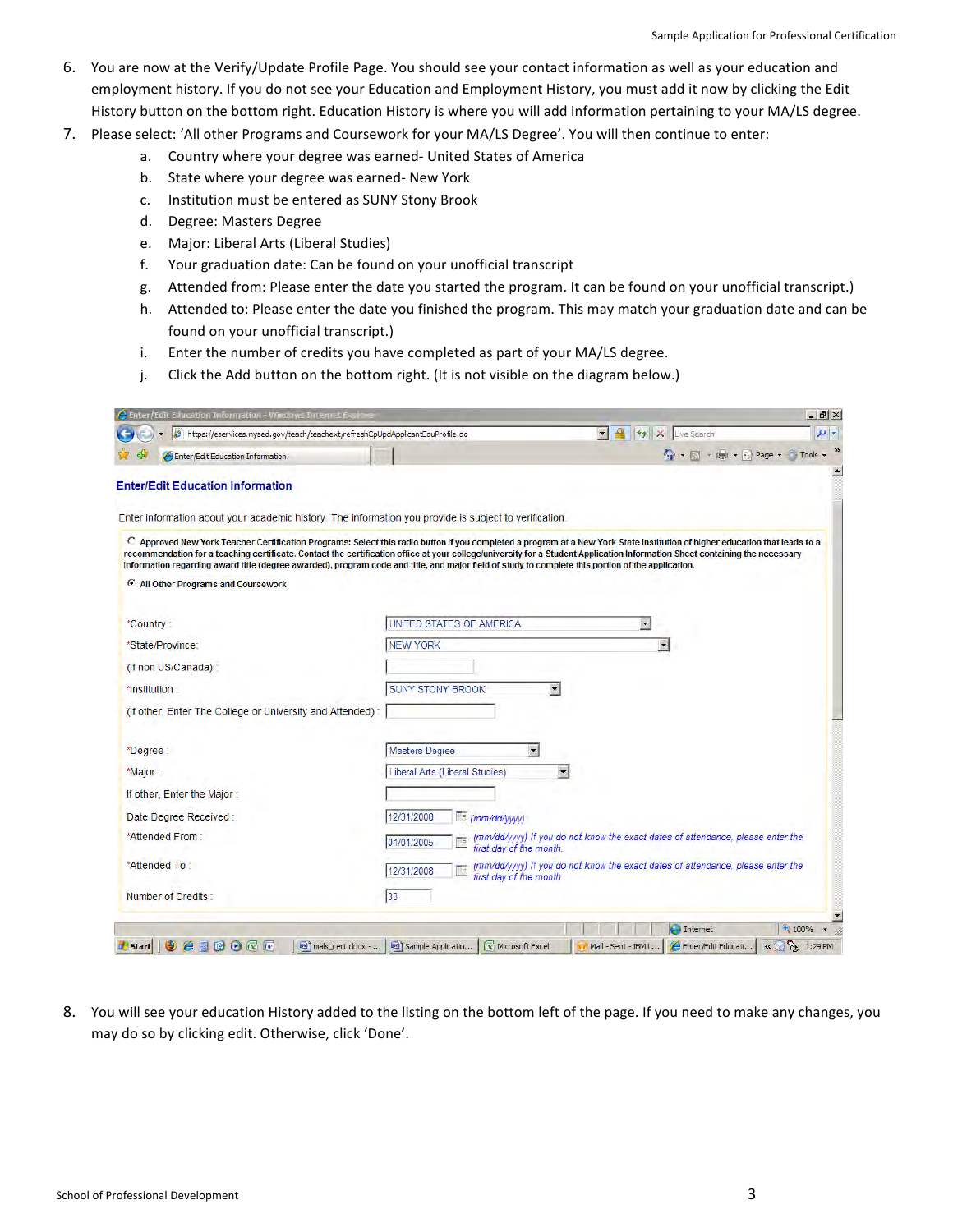- 6. You are now at the Verify/Update Profile Page. You should see your contact information as well as your education and employment history. If you do not see your Education and Employment History, you must add it now by clicking the Edit History button on the bottom right. Education History is where you will add information pertaining to your MA/LS degree.
- 7. Please select: 'All other Programs and Coursework for your MA/LS Degree'. You will then continue to enter:
	- a. Country
	where
	your
	degree
	was
	earned‐
	United
	States
	of
	America
	- b. State
	where
	your
	degree
	was
	earned‐
	New
	York
	- c. Institution
	must
	be
	entered
	as
	SUNY
	Stony
	Brook
	- d. Degree:
	Masters
	Degree
	- e. Major:
	Liberal
	Arts
	(Liberal
	Studies)
	- f. Your
	graduation
	date:
	Can
	be
	found
	on
	your
	unofficial
	transcript
	- g. Attended
	from:
	Please
	enter
	the
	date
	you
	started
	the
	program.
	It
	can
	be
	found
	on
	your
	unofficial
	transcript.)
	- h. Attended to: Please enter the date you finished the program. This may match your graduation date and can be found
	on
	your
	unofficial
	transcript.)
	- i. Enter the number of credits you have completed as part of your MA/LS degree.
	- j. Click the Add button on the bottom right. (It is not visible on the diagram below.)

| C Enter/Edit Education Information - Windows Internet Explo                                                                                                                                                                                                                                                                                                                                                                                                                                                     |                                                            |                                                                                                                | $ B$ $\times$ |
|-----------------------------------------------------------------------------------------------------------------------------------------------------------------------------------------------------------------------------------------------------------------------------------------------------------------------------------------------------------------------------------------------------------------------------------------------------------------------------------------------------------------|------------------------------------------------------------|----------------------------------------------------------------------------------------------------------------|---------------|
| e https://eservices.nysed.gov/teach/teachext/refreshCpUpdApplicantEduProfile.do                                                                                                                                                                                                                                                                                                                                                                                                                                 |                                                            | $\left \frac{\mathbf{u}}{\mathbf{u}}\right $ $\left \frac{\mathbf{u}}{\mathbf{v}}\right $ $\times$ Live Search | - م           |
| Enter/Edit Education Information                                                                                                                                                                                                                                                                                                                                                                                                                                                                                |                                                            | ● → 同 → 陽 → 2 Page → 1 Tools →                                                                                 |               |
| <b>Enter/Edit Education Information</b>                                                                                                                                                                                                                                                                                                                                                                                                                                                                         |                                                            |                                                                                                                |               |
|                                                                                                                                                                                                                                                                                                                                                                                                                                                                                                                 |                                                            |                                                                                                                |               |
| Enter information about your academic history. The information you provide is subject to verification.                                                                                                                                                                                                                                                                                                                                                                                                          |                                                            |                                                                                                                |               |
| C Approved New York Teacher Certification Programs: Select this radio button if you completed a program at a New York State institution of higher education that leads to a<br>recommendation for a teaching certificate. Contact the certification office at your college/university for a Student Application Information Sheet containing the necessary<br>information regarding award title (degree awarded), program code and title, and major field of study to complete this portion of the application. |                                                            |                                                                                                                |               |
| C All Other Programs and Coursework                                                                                                                                                                                                                                                                                                                                                                                                                                                                             |                                                            |                                                                                                                |               |
|                                                                                                                                                                                                                                                                                                                                                                                                                                                                                                                 |                                                            |                                                                                                                |               |
| *Country:                                                                                                                                                                                                                                                                                                                                                                                                                                                                                                       | UNITED STATES OF AMERICA                                   | $\blacksquare$                                                                                                 |               |
| *State/Province:                                                                                                                                                                                                                                                                                                                                                                                                                                                                                                | <b>NEW YORK</b>                                            |                                                                                                                |               |
| (If non US/Canada):                                                                                                                                                                                                                                                                                                                                                                                                                                                                                             |                                                            |                                                                                                                |               |
| *Institution:                                                                                                                                                                                                                                                                                                                                                                                                                                                                                                   | <b>SUNY STONY BROOK</b>                                    |                                                                                                                |               |
| (If other, Enter The College or University and Attended):                                                                                                                                                                                                                                                                                                                                                                                                                                                       |                                                            |                                                                                                                |               |
|                                                                                                                                                                                                                                                                                                                                                                                                                                                                                                                 |                                                            |                                                                                                                |               |
| *Degree                                                                                                                                                                                                                                                                                                                                                                                                                                                                                                         | $\blacktriangledown$<br><b>Masters Degree</b>              |                                                                                                                |               |
| *Major:                                                                                                                                                                                                                                                                                                                                                                                                                                                                                                         | Liberal Arts (Liberal Studies)<br>$\overline{\phantom{a}}$ |                                                                                                                |               |
| If other, Enter the Major:                                                                                                                                                                                                                                                                                                                                                                                                                                                                                      |                                                            |                                                                                                                |               |
| Date Degree Received:                                                                                                                                                                                                                                                                                                                                                                                                                                                                                           | 12/31/2008<br>$\Box$ (mm/dd/yyyy)                          |                                                                                                                |               |
| *Attended From:                                                                                                                                                                                                                                                                                                                                                                                                                                                                                                 | E<br>01/01/2005                                            | (mm/dd/yyyy) If you do not know the exact dates of attendance, please enter the first day of the month.        |               |
| *Attended To:                                                                                                                                                                                                                                                                                                                                                                                                                                                                                                   |                                                            | (mm/dd/yyyy) If you do not know the exact dates of attendance, please enter the                                |               |
|                                                                                                                                                                                                                                                                                                                                                                                                                                                                                                                 | Tu<br>12/31/2008<br>first day of the month.                |                                                                                                                |               |
| Number of Credits:                                                                                                                                                                                                                                                                                                                                                                                                                                                                                              | 33                                                         |                                                                                                                |               |
|                                                                                                                                                                                                                                                                                                                                                                                                                                                                                                                 |                                                            | $\bigoplus$ Internet                                                                                           | + 100%        |
| <b>ADOGE</b><br>G<br>lim mals cert.docx -<br><b>Start</b>                                                                                                                                                                                                                                                                                                                                                                                                                                                       | [w] Sample Applicatio<br><b>K</b> Microsoft Excel          | Mail - Sent - IBM L<br>Enter/Edit Educati                                                                      |               |

8. You will see your education History added to the listing on the bottom left of the page. If you need to make any changes, you may
do
so
by
clicking
edit.
Otherwise,
click
'Done'.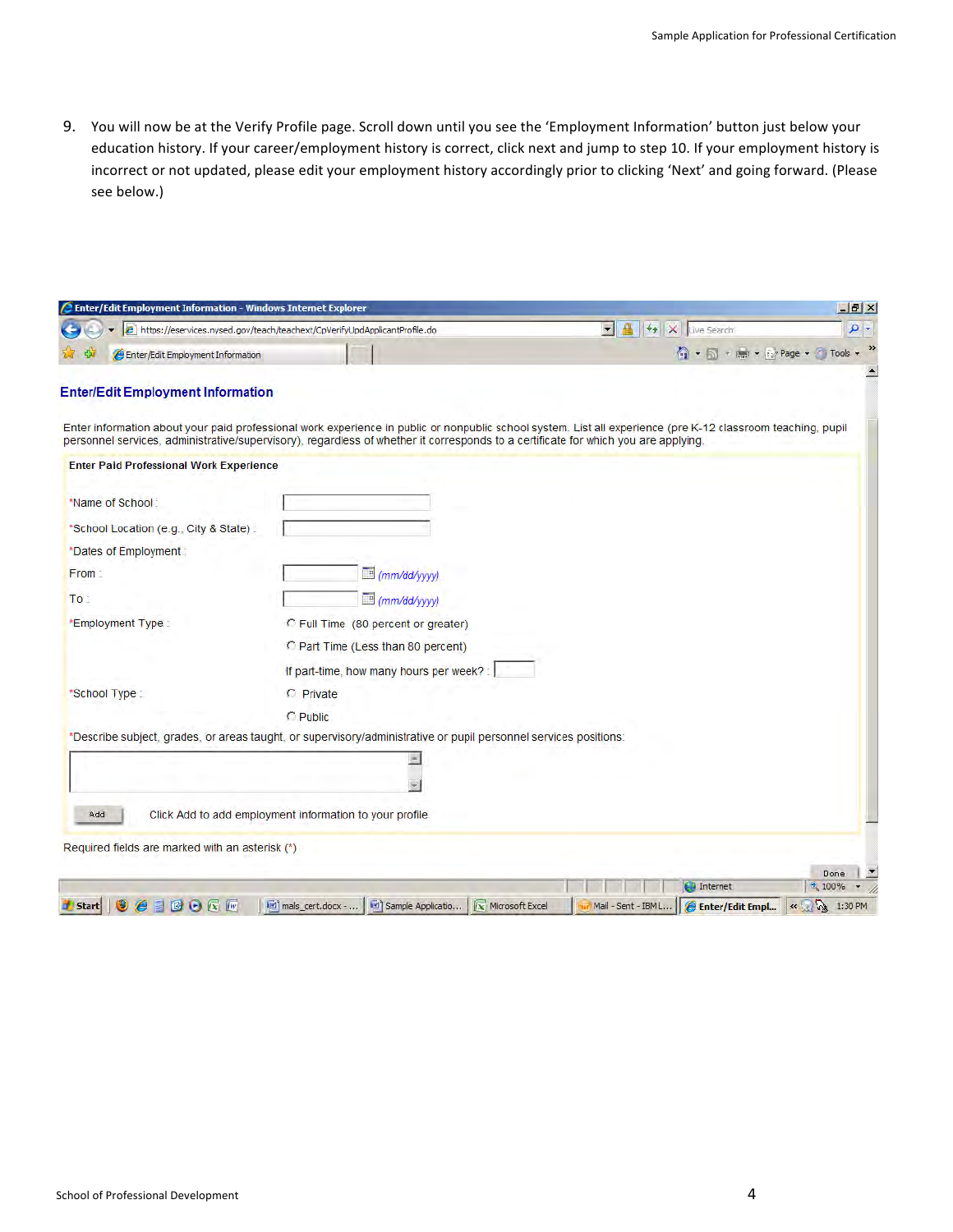9. You will now be at the Verify Profile page. Scroll down until you see the 'Employment Information' button just below your education history. If your career/employment history is correct, click next and jump to step 10. If your employment history is incorrect or not updated, please edit your employment history accordingly prior to clicking 'Next' and going forward. (Please see
below.)

| <b>2</b> Enter/Edit Employment Information - Windows Internet Explorer |                                                                                                                                    |                                                                                                                                                              | $-17 \times$ |
|------------------------------------------------------------------------|------------------------------------------------------------------------------------------------------------------------------------|--------------------------------------------------------------------------------------------------------------------------------------------------------------|--------------|
|                                                                        | e https://eservices.nysed.gov/teach/teachext/CpVerifyUpdApplicantProfile.do                                                        | $\vert \mathbf{r} \vert$<br>鲁<br>$+$<br>×<br>Live Search                                                                                                     | $\rho$ .     |
| Enter/Edit Employment Information                                      |                                                                                                                                    | ● ■ → ■ → By Page → ● Tools →                                                                                                                                |              |
| <b>Enter/Edit Employment Information</b>                               | personnel services, administrative/supervisory), regardless of whether it corresponds to a certificate for which you are applying. | Enter information about your paid professional work experience in public or nonpublic school system. List all experience (pre K-12 classroom teaching, pupil |              |
| <b>Enter Paid Professional Work Experience</b>                         |                                                                                                                                    |                                                                                                                                                              |              |
| *Name of School:                                                       |                                                                                                                                    |                                                                                                                                                              |              |
| *School Location (e.g., City & State):                                 |                                                                                                                                    |                                                                                                                                                              |              |
| *Dates of Employment:                                                  |                                                                                                                                    |                                                                                                                                                              |              |
| From:                                                                  | (mm/dd/yyyy)                                                                                                                       |                                                                                                                                                              |              |
| To:                                                                    | mm/dd/yyyy)                                                                                                                        |                                                                                                                                                              |              |
| *Employment Type:                                                      | C Full Time (80 percent or greater)                                                                                                |                                                                                                                                                              |              |
|                                                                        | C Part Time (Less than 80 percent)                                                                                                 |                                                                                                                                                              |              |
|                                                                        | If part-time, how many hours per week? :                                                                                           |                                                                                                                                                              |              |
| *School Type:                                                          | C Private                                                                                                                          |                                                                                                                                                              |              |
|                                                                        | C Public                                                                                                                           |                                                                                                                                                              |              |
|                                                                        | *Describe subject, grades, or areas taught, or supervisory/administrative or pupil personnel services positions:                   |                                                                                                                                                              |              |
|                                                                        |                                                                                                                                    |                                                                                                                                                              |              |
|                                                                        |                                                                                                                                    |                                                                                                                                                              |              |
| Add                                                                    | Click Add to add employment information to your profile                                                                            |                                                                                                                                                              |              |
|                                                                        |                                                                                                                                    |                                                                                                                                                              |              |
| Required fields are marked with an asterisk (*)                        |                                                                                                                                    |                                                                                                                                                              |              |
|                                                                        |                                                                                                                                    |                                                                                                                                                              | Done         |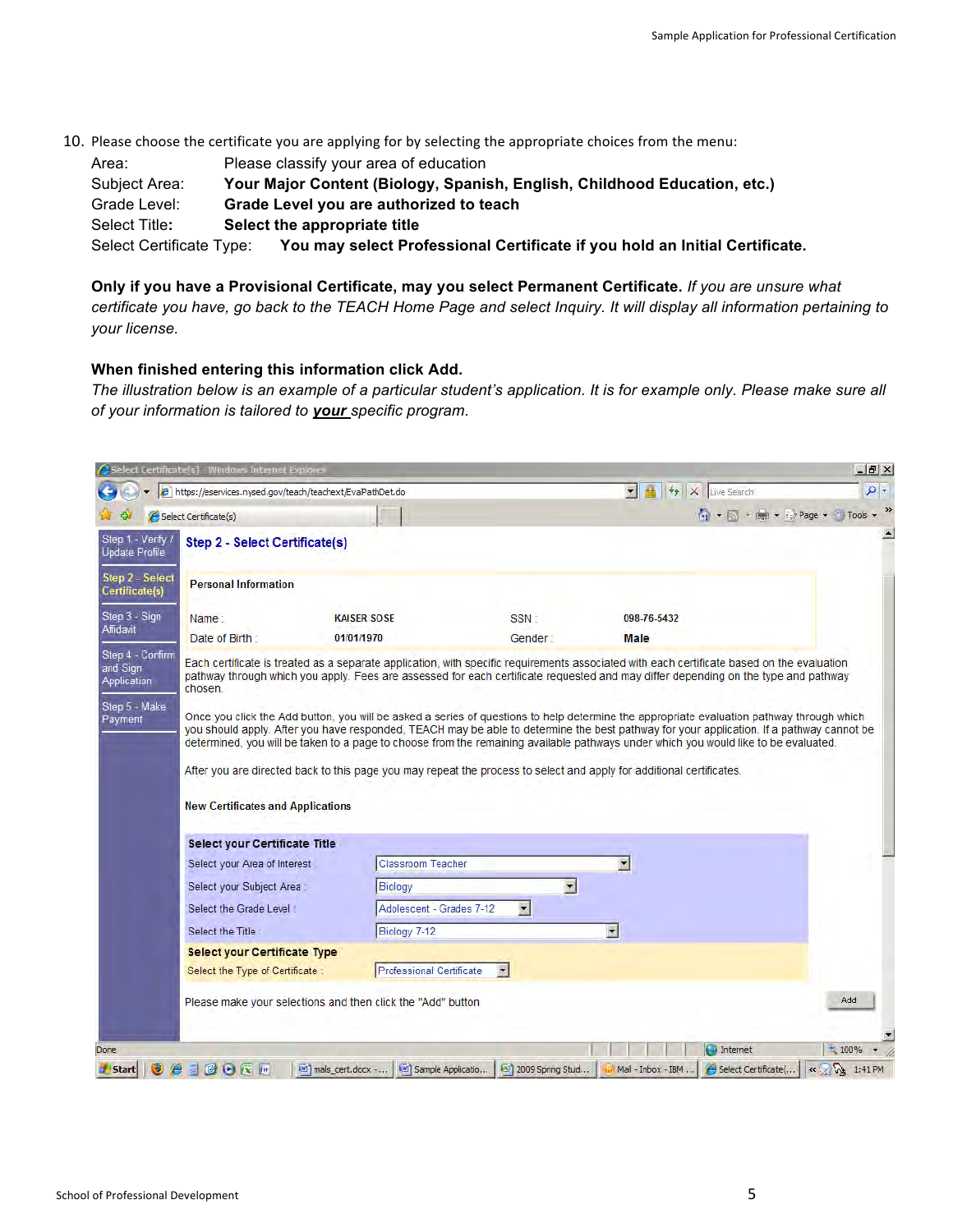10. Please choose the certificate you are applying for by selecting the appropriate choices from the menu: Area: Please classify your area of education Subject Area: **Your Major Content (Biology, Spanish, English, Childhood Education, etc.)**  Grade Level: **Grade Level you are authorized to teach**  Select Title**: Select the appropriate title** Select Certificate Type: **You may select Professional Certificate if you hold an Initial Certificate.** 

**Only if you have a Provisional Certificate, may you select Permanent Certificate.** *If you are unsure what certificate you have, go back to the TEACH Home Page and select Inquiry. It will display all information pertaining to your license.* 

## **When finished entering this information click Add.**

*The illustration below is an example of a particular student's application. It is for example only. Please make sure all of your information is tailored to your specific program.* 

| B + X Live Search<br>e https://eservices.nysed.gov/teach/teachext/EvalPathDet.do<br>☆ + 同 + m + iz Page + 1 Tools +<br>Select Certificate(s)<br>Step 1 - Verify /<br><b>Step 2 - Select Certificate(s)</b><br><b>Update Profile</b><br>Step 2 - Select<br><b>Personal Information</b><br>Certificate(s)<br>Step 3 - Sign<br><b>KAISER SOSE</b><br>SSN:<br>098-76-5432<br>Name:<br>Affidavit<br>Date of Birth:<br>01/01/1970<br>Gender:<br><b>Male</b><br>Step 4 - Confirm<br>Each certificate is treated as a separate application, with specific requirements associated with each certificate based on the evaluation<br>and Sign<br>pathway through which you apply. Fees are assessed for each certificate requested and may differ depending on the type and pathway<br>Application<br>chosen.<br>Step 5 - Make<br>Once you click the Add button, you will be asked a series of questions to help determine the appropriate evaluation pathway through which<br>Payment<br>you should apply. After you have responded, TEACH may be able to determine the best pathway for your application. If a pathway cannot be<br>determined, you will be taken to a page to choose from the remaining available pathways under which you would like to be evaluated.<br>After you are directed back to this page you may repeat the process to select and apply for additional certificates.<br><b>New Certificates and Applications</b><br><b>Select your Certificate Title</b><br><b>Classroom Teacher</b><br>$\vert \mathbf{r} \vert$<br>Select your Area of Interest<br>$\blacksquare$<br>Select your Subject Area:<br>Biology<br>Adolescent - Grades 7-12<br>$\vert \cdot \vert$<br>Select the Grade Level:<br>$\blacksquare$<br>Biology 7-12<br>Select the Title<br><b>Select your Certificate Type</b><br><b>Professional Certificate</b><br>$\blacksquare$<br>Select the Type of Certificate:<br>Add<br>Please make your selections and then click the "Add" button | Select Certificate(s) · Windows Internet Explores |  | $ B$ $\times$ |
|------------------------------------------------------------------------------------------------------------------------------------------------------------------------------------------------------------------------------------------------------------------------------------------------------------------------------------------------------------------------------------------------------------------------------------------------------------------------------------------------------------------------------------------------------------------------------------------------------------------------------------------------------------------------------------------------------------------------------------------------------------------------------------------------------------------------------------------------------------------------------------------------------------------------------------------------------------------------------------------------------------------------------------------------------------------------------------------------------------------------------------------------------------------------------------------------------------------------------------------------------------------------------------------------------------------------------------------------------------------------------------------------------------------------------------------------------------------------------------------------------------------------------------------------------------------------------------------------------------------------------------------------------------------------------------------------------------------------------------------------------------------------------------------------------------------------------------------------------------------------------------------------------------------------------------------------------------------------|---------------------------------------------------|--|---------------|
|                                                                                                                                                                                                                                                                                                                                                                                                                                                                                                                                                                                                                                                                                                                                                                                                                                                                                                                                                                                                                                                                                                                                                                                                                                                                                                                                                                                                                                                                                                                                                                                                                                                                                                                                                                                                                                                                                                                                                                        |                                                   |  | - م           |
|                                                                                                                                                                                                                                                                                                                                                                                                                                                                                                                                                                                                                                                                                                                                                                                                                                                                                                                                                                                                                                                                                                                                                                                                                                                                                                                                                                                                                                                                                                                                                                                                                                                                                                                                                                                                                                                                                                                                                                        |                                                   |  |               |
|                                                                                                                                                                                                                                                                                                                                                                                                                                                                                                                                                                                                                                                                                                                                                                                                                                                                                                                                                                                                                                                                                                                                                                                                                                                                                                                                                                                                                                                                                                                                                                                                                                                                                                                                                                                                                                                                                                                                                                        |                                                   |  |               |
|                                                                                                                                                                                                                                                                                                                                                                                                                                                                                                                                                                                                                                                                                                                                                                                                                                                                                                                                                                                                                                                                                                                                                                                                                                                                                                                                                                                                                                                                                                                                                                                                                                                                                                                                                                                                                                                                                                                                                                        |                                                   |  |               |
|                                                                                                                                                                                                                                                                                                                                                                                                                                                                                                                                                                                                                                                                                                                                                                                                                                                                                                                                                                                                                                                                                                                                                                                                                                                                                                                                                                                                                                                                                                                                                                                                                                                                                                                                                                                                                                                                                                                                                                        |                                                   |  |               |
|                                                                                                                                                                                                                                                                                                                                                                                                                                                                                                                                                                                                                                                                                                                                                                                                                                                                                                                                                                                                                                                                                                                                                                                                                                                                                                                                                                                                                                                                                                                                                                                                                                                                                                                                                                                                                                                                                                                                                                        |                                                   |  |               |
|                                                                                                                                                                                                                                                                                                                                                                                                                                                                                                                                                                                                                                                                                                                                                                                                                                                                                                                                                                                                                                                                                                                                                                                                                                                                                                                                                                                                                                                                                                                                                                                                                                                                                                                                                                                                                                                                                                                                                                        |                                                   |  |               |
|                                                                                                                                                                                                                                                                                                                                                                                                                                                                                                                                                                                                                                                                                                                                                                                                                                                                                                                                                                                                                                                                                                                                                                                                                                                                                                                                                                                                                                                                                                                                                                                                                                                                                                                                                                                                                                                                                                                                                                        |                                                   |  |               |
|                                                                                                                                                                                                                                                                                                                                                                                                                                                                                                                                                                                                                                                                                                                                                                                                                                                                                                                                                                                                                                                                                                                                                                                                                                                                                                                                                                                                                                                                                                                                                                                                                                                                                                                                                                                                                                                                                                                                                                        |                                                   |  |               |
|                                                                                                                                                                                                                                                                                                                                                                                                                                                                                                                                                                                                                                                                                                                                                                                                                                                                                                                                                                                                                                                                                                                                                                                                                                                                                                                                                                                                                                                                                                                                                                                                                                                                                                                                                                                                                                                                                                                                                                        |                                                   |  |               |
|                                                                                                                                                                                                                                                                                                                                                                                                                                                                                                                                                                                                                                                                                                                                                                                                                                                                                                                                                                                                                                                                                                                                                                                                                                                                                                                                                                                                                                                                                                                                                                                                                                                                                                                                                                                                                                                                                                                                                                        |                                                   |  |               |
|                                                                                                                                                                                                                                                                                                                                                                                                                                                                                                                                                                                                                                                                                                                                                                                                                                                                                                                                                                                                                                                                                                                                                                                                                                                                                                                                                                                                                                                                                                                                                                                                                                                                                                                                                                                                                                                                                                                                                                        |                                                   |  |               |
|                                                                                                                                                                                                                                                                                                                                                                                                                                                                                                                                                                                                                                                                                                                                                                                                                                                                                                                                                                                                                                                                                                                                                                                                                                                                                                                                                                                                                                                                                                                                                                                                                                                                                                                                                                                                                                                                                                                                                                        |                                                   |  |               |
|                                                                                                                                                                                                                                                                                                                                                                                                                                                                                                                                                                                                                                                                                                                                                                                                                                                                                                                                                                                                                                                                                                                                                                                                                                                                                                                                                                                                                                                                                                                                                                                                                                                                                                                                                                                                                                                                                                                                                                        |                                                   |  |               |
|                                                                                                                                                                                                                                                                                                                                                                                                                                                                                                                                                                                                                                                                                                                                                                                                                                                                                                                                                                                                                                                                                                                                                                                                                                                                                                                                                                                                                                                                                                                                                                                                                                                                                                                                                                                                                                                                                                                                                                        |                                                   |  |               |
|                                                                                                                                                                                                                                                                                                                                                                                                                                                                                                                                                                                                                                                                                                                                                                                                                                                                                                                                                                                                                                                                                                                                                                                                                                                                                                                                                                                                                                                                                                                                                                                                                                                                                                                                                                                                                                                                                                                                                                        |                                                   |  |               |
|                                                                                                                                                                                                                                                                                                                                                                                                                                                                                                                                                                                                                                                                                                                                                                                                                                                                                                                                                                                                                                                                                                                                                                                                                                                                                                                                                                                                                                                                                                                                                                                                                                                                                                                                                                                                                                                                                                                                                                        |                                                   |  |               |
|                                                                                                                                                                                                                                                                                                                                                                                                                                                                                                                                                                                                                                                                                                                                                                                                                                                                                                                                                                                                                                                                                                                                                                                                                                                                                                                                                                                                                                                                                                                                                                                                                                                                                                                                                                                                                                                                                                                                                                        |                                                   |  |               |
|                                                                                                                                                                                                                                                                                                                                                                                                                                                                                                                                                                                                                                                                                                                                                                                                                                                                                                                                                                                                                                                                                                                                                                                                                                                                                                                                                                                                                                                                                                                                                                                                                                                                                                                                                                                                                                                                                                                                                                        |                                                   |  |               |
| <b>ED</b> Internet<br>土 100%                                                                                                                                                                                                                                                                                                                                                                                                                                                                                                                                                                                                                                                                                                                                                                                                                                                                                                                                                                                                                                                                                                                                                                                                                                                                                                                                                                                                                                                                                                                                                                                                                                                                                                                                                                                                                                                                                                                                           |                                                   |  |               |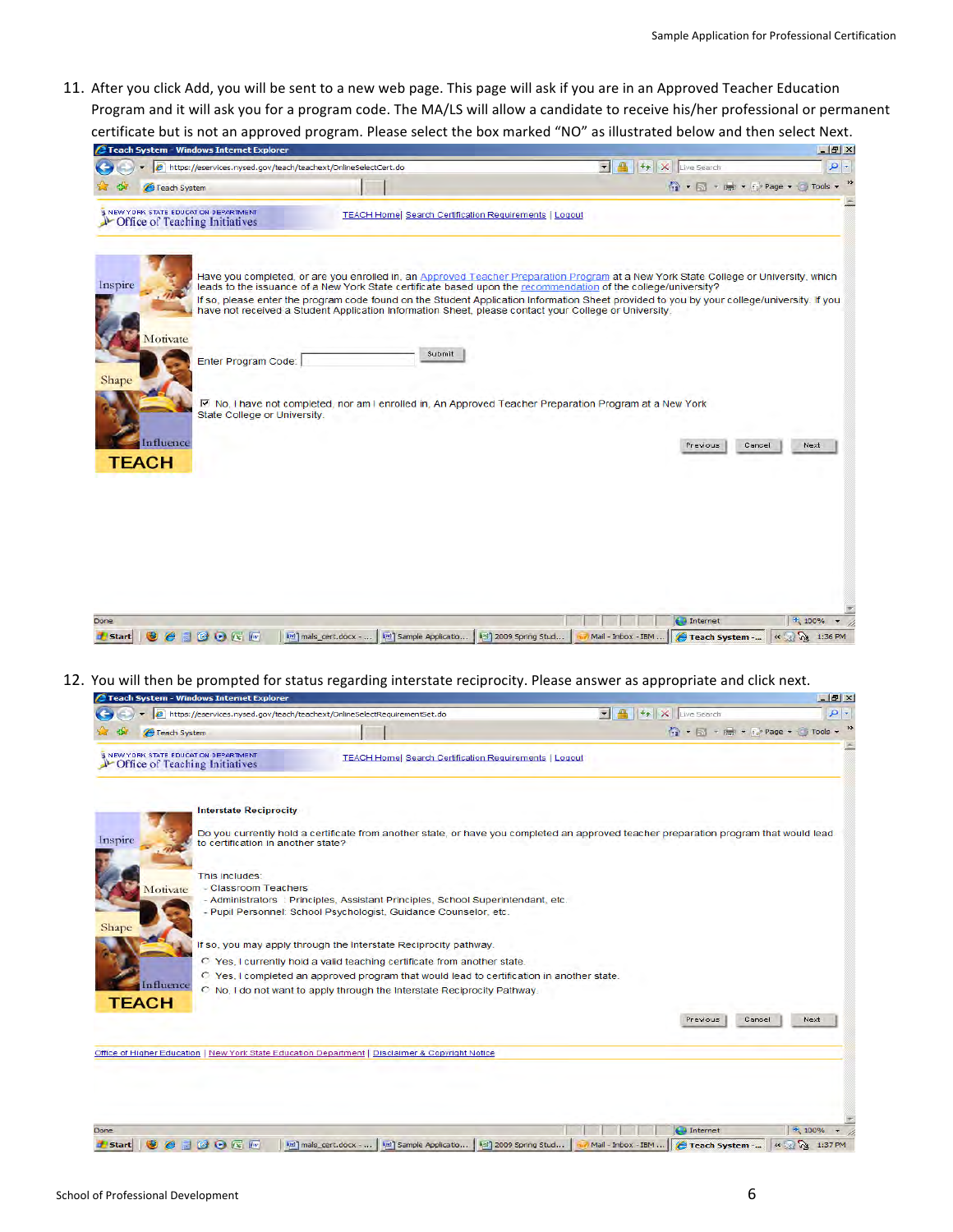11. After you click Add, you will be sent to a new web page. This page will ask if you are in an Approved Teacher Education Program and it will ask you for a program code. The MA/LS will allow a candidate to receive his/her professional or permanent certificate but is not an approved program. Please select the box marked "NO" as illustrated below and then select Next.

| 2 Teach System - Windows Internet Explorer                              |                                                                                                                                                                                                                                                                                                                                                                                                                                                                                                                                                                                                                                    |                |                         | $ B$ $\times$                    |
|-------------------------------------------------------------------------|------------------------------------------------------------------------------------------------------------------------------------------------------------------------------------------------------------------------------------------------------------------------------------------------------------------------------------------------------------------------------------------------------------------------------------------------------------------------------------------------------------------------------------------------------------------------------------------------------------------------------------|----------------|-------------------------|----------------------------------|
| e https://eservices.nysed.gov/teach/teachext/OnlineSelectCert.do        |                                                                                                                                                                                                                                                                                                                                                                                                                                                                                                                                                                                                                                    | $\blacksquare$ | <b>Vy X</b> Live Search | $\rho$ -                         |
| Feach System                                                            |                                                                                                                                                                                                                                                                                                                                                                                                                                                                                                                                                                                                                                    |                |                         | 1 + 5 + 1 + 1 Page + 6 Tools + " |
| I NEW YORK STATE EDUCATION DEPARTMENT<br>Office of Teaching Initiatives | <b>TEACH Home  Search Certification Requirements   Logout</b>                                                                                                                                                                                                                                                                                                                                                                                                                                                                                                                                                                      |                |                         |                                  |
| Inspire<br>Motivate<br>Enter Program Code:<br>Shape                     | Have you completed, or are you enrolled in, an Approved Teacher Preparation Program at a New York State College or University, which<br>leads to the issuance of a New York State certificate based upon the recommendation of the college/university?<br>If so, please enter the program code found on the Student Application Information Sheet provided to you by your college/university. If you<br>have not received a Student Application Information Sheet, please contact your College or University.<br>Submit<br>Ⅳ No, I have not completed, nor am I enrolled in, An Approved Teacher Preparation Program at a New York |                |                         |                                  |
| State College or University.<br>Influence<br><b>TEACH</b>               |                                                                                                                                                                                                                                                                                                                                                                                                                                                                                                                                                                                                                                    |                | Previous                | Cancel<br>Next                   |
|                                                                         |                                                                                                                                                                                                                                                                                                                                                                                                                                                                                                                                                                                                                                    |                |                         |                                  |
| Done                                                                    |                                                                                                                                                                                                                                                                                                                                                                                                                                                                                                                                                                                                                                    |                | <b>ED</b> Internet      | <b>七 100%</b>                    |

12. You will then be prompted for status regarding interstate reciprocity. Please answer as appropriate and click next.

| <b>2 Teach System - Windows Internet Explorer</b>                                                |                                                                                                                                                      |                                                                                                                                       | $-12$ $\times$                |
|--------------------------------------------------------------------------------------------------|------------------------------------------------------------------------------------------------------------------------------------------------------|---------------------------------------------------------------------------------------------------------------------------------------|-------------------------------|
| https://eservices.nysed.gov/teach/teachext/OnlineSelectRequirementSet.do                         |                                                                                                                                                      | T 4 + X Live Search                                                                                                                   | $\rho$ -                      |
| Teach System                                                                                     |                                                                                                                                                      |                                                                                                                                       | • 5 + m + is Page + C Tools + |
| <b>INEW YORK STATE EDUCATION DEPARTMENT</b><br>Cffice of Teaching Initiatives                    | <b>TEACH Home  Search Certification Requirements   Logout</b>                                                                                        |                                                                                                                                       |                               |
| <b>Interstate Reciprocity</b>                                                                    |                                                                                                                                                      |                                                                                                                                       |                               |
| Inspire<br>to certification in another state?                                                    |                                                                                                                                                      | Do you currently hold a certificate from another state, or have you completed an approved teacher preparation program that would lead |                               |
| This includes:                                                                                   |                                                                                                                                                      |                                                                                                                                       |                               |
| - Classroom Teachers<br>Motivate                                                                 |                                                                                                                                                      |                                                                                                                                       |                               |
| Shape                                                                                            | - Administrators : Principles, Assistant Principles, School Superintendant, etc.<br>- Pupil Personnel: School Psychologist, Guidance Counselor, etc. |                                                                                                                                       |                               |
|                                                                                                  | If so, you may apply through the Interstate Reciprocity pathway.                                                                                     |                                                                                                                                       |                               |
|                                                                                                  | C Yes, I currently hold a valid teaching certificate from another state.                                                                             |                                                                                                                                       |                               |
|                                                                                                  | C Yes, I completed an approved program that would lead to certification in another state.                                                            |                                                                                                                                       |                               |
| Influence<br><b>TEACH</b>                                                                        | C No. I do not want to apply through the Interstate Reciprocity Pathway.                                                                             |                                                                                                                                       |                               |
|                                                                                                  |                                                                                                                                                      | Previous                                                                                                                              | Cancel<br>Next                |
| Office of Higher Education   New York State Education Department   Disclaimer & Copyright Notice |                                                                                                                                                      |                                                                                                                                       |                               |
|                                                                                                  |                                                                                                                                                      |                                                                                                                                       |                               |
|                                                                                                  |                                                                                                                                                      |                                                                                                                                       |                               |
|                                                                                                  |                                                                                                                                                      |                                                                                                                                       |                               |
| Done                                                                                             |                                                                                                                                                      | $\bigoplus$ Internet                                                                                                                  | $+ 100%$                      |
| 20反应<br>Start                                                                                    | lim) mals_cert.docx -<br>[w] Sample Applicatio                                                                                                       | [3] 2009 Spring Stud<br>Teach System -<br>Mail - Inbox - IBM                                                                          | « R 1:37 PM                   |

 $\sim$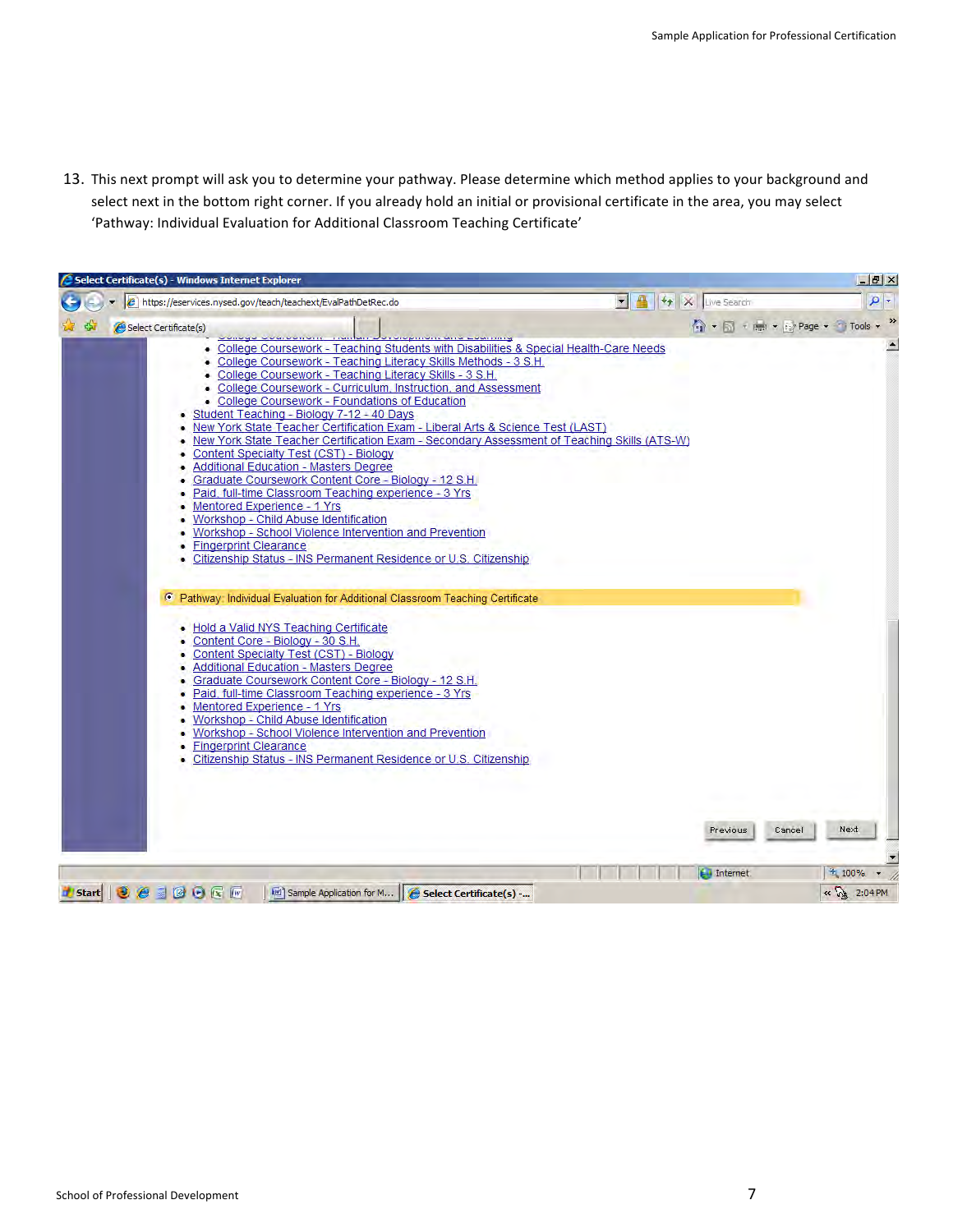13. This next prompt will ask you to determine your pathway. Please determine which method applies to your background and select next in the bottom right corner. If you already hold an initial or provisional certificate in the area, you may select 'Pathway: Individual Evaluation for Additional Classroom Teaching Certificate'

| 5 Select Certificate(s) - Windows Internet Explorer                                                                                                                                                                                                                                                                                                                                                                                                                                                                                                                                                                                                                                                                                                                                                                                                                                                                                                                                                                                                                                                                                                         |                   |                                |        |             | $-17 \times$     |
|-------------------------------------------------------------------------------------------------------------------------------------------------------------------------------------------------------------------------------------------------------------------------------------------------------------------------------------------------------------------------------------------------------------------------------------------------------------------------------------------------------------------------------------------------------------------------------------------------------------------------------------------------------------------------------------------------------------------------------------------------------------------------------------------------------------------------------------------------------------------------------------------------------------------------------------------------------------------------------------------------------------------------------------------------------------------------------------------------------------------------------------------------------------|-------------------|--------------------------------|--------|-------------|------------------|
| A https://eservices.nysed.gov/teach/teachext/EvalPathDetRec.do                                                                                                                                                                                                                                                                                                                                                                                                                                                                                                                                                                                                                                                                                                                                                                                                                                                                                                                                                                                                                                                                                              | H + X Live Search |                                |        |             | $\frac{1}{2}$    |
| Select Certificate(s)                                                                                                                                                                                                                                                                                                                                                                                                                                                                                                                                                                                                                                                                                                                                                                                                                                                                                                                                                                                                                                                                                                                                       |                   | • 同 + 同 + ( ) Page + 1 Tools + |        |             | »                |
| . College Coursework - Teaching Students with Disabilities & Special Health-Care Needs<br>• College Coursework - Teaching Literacy Skills Methods - 3 S.H.<br>• College Coursework - Teaching Literacy Skills - 3 S.H.<br>• College Coursework - Curriculum, Instruction, and Assessment<br>• College Coursework - Foundations of Education<br>Student Teaching - Biology 7-12 - 40 Days<br>. New York State Teacher Certification Exam - Liberal Arts & Science Test (LAST)<br>• New York State Teacher Certification Exam - Secondary Assessment of Teaching Skills (ATS-W)<br>• Content Specialty Test (CST) - Biology<br>• Additional Education - Masters Degree<br>• Graduate Coursework Content Core - Biology - 12 S.H.<br>• Paid, full-time Classroom Teaching experience - 3 Yrs<br>• Mentored Experience - 1 Yrs<br>• Workshop - Child Abuse Identification<br>• Workshop - School Violence Intervention and Prevention<br>• Fingerprint Clearance<br>Citizenship Status - INS Permanent Residence or U.S. Citizenship<br>Pathway: Individual Evaluation for Additional Classroom Teaching Certificate<br>. Hold a Valid NYS Teaching Certificate |                   |                                |        |             | $\blacktriangle$ |
| • Content Core - Biology - 30 S.H.<br>• Content Specialty Test (CST) - Biology<br>• Additional Education - Masters Degree<br>• Graduate Coursework Content Core - Biology - 12 S.H.<br>- Paid, full-time Classroom Teaching experience - 3 Yrs<br>• Mentored Experience - 1 Yrs<br>• Workshop - Child Abuse Identification<br>• Workshop - School Violence Intervention and Prevention<br>• Fingerprint Clearance<br>• Citizenship Status - INS Permanent Residence or U.S. Citizenship                                                                                                                                                                                                                                                                                                                                                                                                                                                                                                                                                                                                                                                                     |                   | Previous                       | Cancel | Next        |                  |
|                                                                                                                                                                                                                                                                                                                                                                                                                                                                                                                                                                                                                                                                                                                                                                                                                                                                                                                                                                                                                                                                                                                                                             |                   | <b>ED</b> Internet             |        | $+100%$     |                  |
| <b><i>Distant</i></b> 3 8 8 6 6 m<br>Sample Application for M   Gelect Certificate(s) -                                                                                                                                                                                                                                                                                                                                                                                                                                                                                                                                                                                                                                                                                                                                                                                                                                                                                                                                                                                                                                                                     |                   |                                |        | « 3 2:04 PM |                  |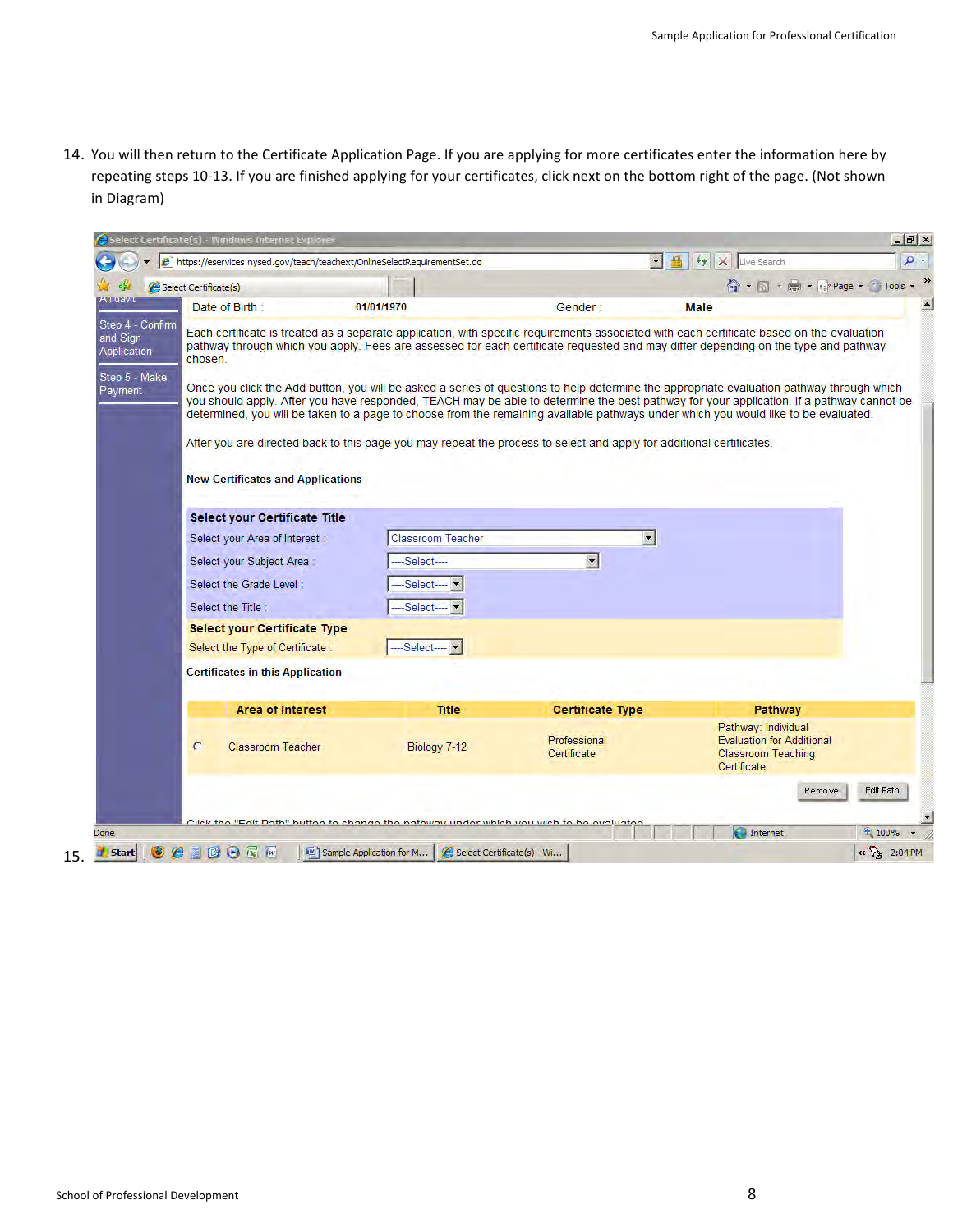14. You will then return to the Certificate Application Page. If you are applying for more certificates enter the information here by repeating steps 10-13. If you are finished applying for your certificates, click next on the bottom right of the page. (Not shown in
Diagram)

|                                             | et https://eservices.nysed.gov/teach/teachext/OnlineSelectRequirementSet.do                                                                                                                                                                                                                                                                                                                                                  |                          |                             | H 4 X Live Search                                                                                   | $\rho$ .  |
|---------------------------------------------|------------------------------------------------------------------------------------------------------------------------------------------------------------------------------------------------------------------------------------------------------------------------------------------------------------------------------------------------------------------------------------------------------------------------------|--------------------------|-----------------------------|-----------------------------------------------------------------------------------------------------|-----------|
|                                             | Select Certificate(s)                                                                                                                                                                                                                                                                                                                                                                                                        |                          |                             | ● → 同 → ■ → → Page → ● Tools →                                                                      |           |
| Autorivia                                   | Date of Birth                                                                                                                                                                                                                                                                                                                                                                                                                | 01/01/1970               | Gender:                     | <b>Male</b>                                                                                         |           |
| Step 4 - Confirm<br>and Sign<br>Application | Each certificate is treated as a separate application, with specific requirements associated with each certificate based on the evaluation<br>pathway through which you apply. Fees are assessed for each certificate requested and may differ depending on the type and pathway<br>chosen.                                                                                                                                  |                          |                             |                                                                                                     |           |
| Step 5 - Make<br>Payment                    | Once you click the Add button, you will be asked a series of questions to help determine the appropriate evaluation pathway through which<br>you should apply. After you have responded, TEACH may be able to determine the best pathway for your application. If a pathway cannot be<br>determined, you will be taken to a page to choose from the remaining available pathways under which you would like to be evaluated. |                          |                             |                                                                                                     |           |
|                                             | After you are directed back to this page you may repeat the process to select and apply for additional certificates.                                                                                                                                                                                                                                                                                                         |                          |                             |                                                                                                     |           |
|                                             | <b>New Certificates and Applications</b>                                                                                                                                                                                                                                                                                                                                                                                     |                          |                             |                                                                                                     |           |
|                                             |                                                                                                                                                                                                                                                                                                                                                                                                                              |                          |                             |                                                                                                     |           |
|                                             | <b>Select your Certificate Title</b>                                                                                                                                                                                                                                                                                                                                                                                         |                          |                             |                                                                                                     |           |
|                                             | Select your Area of Interest :                                                                                                                                                                                                                                                                                                                                                                                               | <b>Classroom Teacher</b> | $\blacksquare$              |                                                                                                     |           |
|                                             |                                                                                                                                                                                                                                                                                                                                                                                                                              |                          |                             |                                                                                                     |           |
|                                             | Select your Subject Area :                                                                                                                                                                                                                                                                                                                                                                                                   | -Select----              | $\frac{1}{2}$               |                                                                                                     |           |
|                                             | Select the Grade Level:                                                                                                                                                                                                                                                                                                                                                                                                      | Select--- <b>-</b>       |                             |                                                                                                     |           |
|                                             | Select the Title:                                                                                                                                                                                                                                                                                                                                                                                                            | Select-                  |                             |                                                                                                     |           |
|                                             | <b>Select your Certificate Type</b>                                                                                                                                                                                                                                                                                                                                                                                          |                          |                             |                                                                                                     |           |
|                                             | Select the Type of Certificate                                                                                                                                                                                                                                                                                                                                                                                               | Select- -                |                             |                                                                                                     |           |
|                                             | <b>Certificates in this Application</b>                                                                                                                                                                                                                                                                                                                                                                                      |                          |                             |                                                                                                     |           |
|                                             |                                                                                                                                                                                                                                                                                                                                                                                                                              |                          |                             |                                                                                                     |           |
|                                             | <b>Area of Interest</b>                                                                                                                                                                                                                                                                                                                                                                                                      | <b>Title</b>             | <b>Certificate Type</b>     | <b>Pathway</b>                                                                                      |           |
|                                             | C<br><b>Classroom Teacher</b>                                                                                                                                                                                                                                                                                                                                                                                                | Biology 7-12             | Professional<br>Certificate | Pathway: Individual<br><b>Evaluation for Additional</b><br><b>Classroom Teaching</b><br>Certificate |           |
|                                             |                                                                                                                                                                                                                                                                                                                                                                                                                              |                          |                             | Remove                                                                                              | Edit Path |
|                                             | Cliek the "Edit Dath" button to change the nathway under which you wish to be ovaluated                                                                                                                                                                                                                                                                                                                                      |                          |                             |                                                                                                     |           |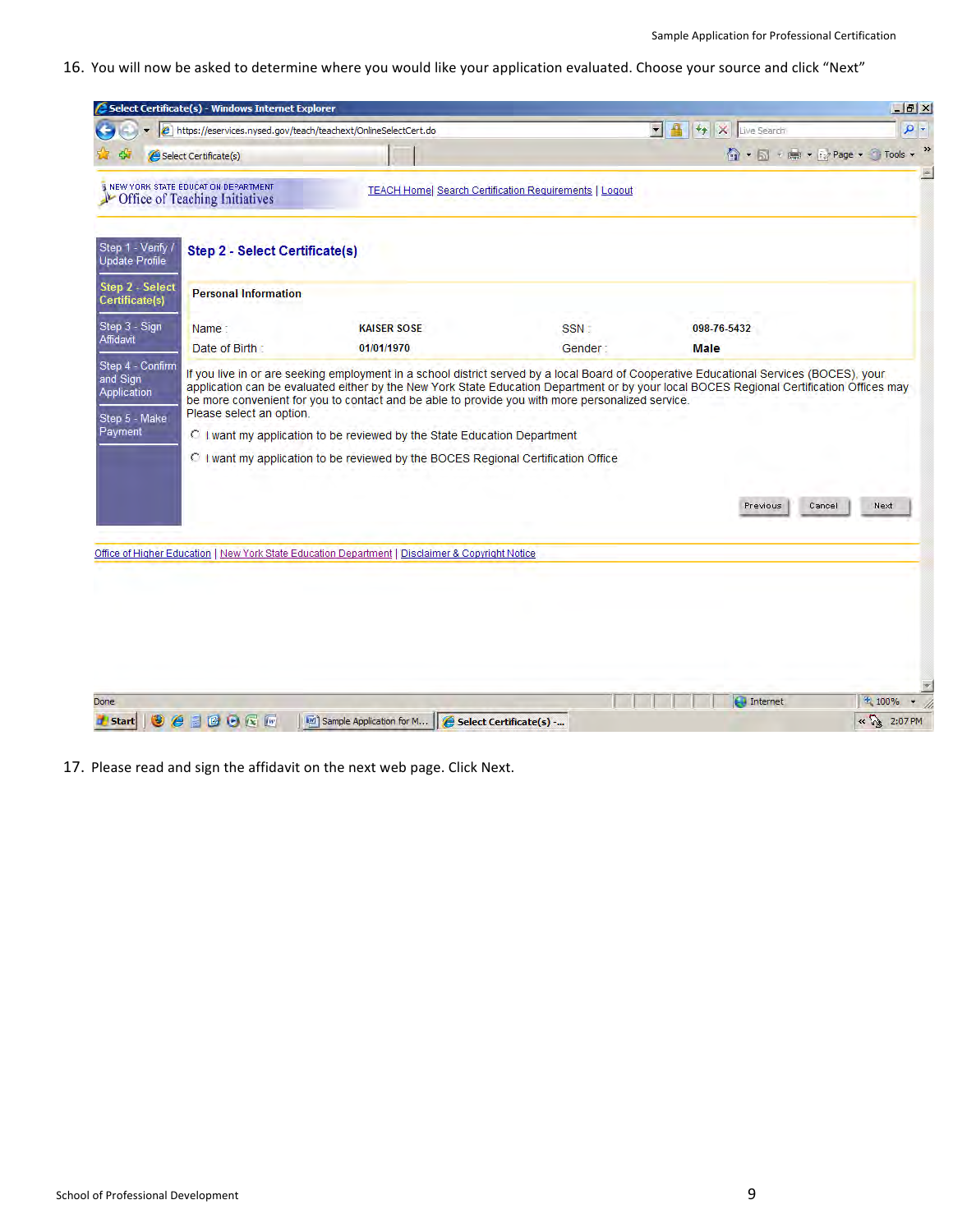16. You will now be asked to determine where you would like your application evaluated. Choose your source and click "Next"

|                                   | Select Certificate(s) - Windows Internet Explorer                       |                                                                                                                                                               |                                                               |                                               | $-17x$          |
|-----------------------------------|-------------------------------------------------------------------------|---------------------------------------------------------------------------------------------------------------------------------------------------------------|---------------------------------------------------------------|-----------------------------------------------|-----------------|
|                                   | e https://eservices.nysed.gov/teach/teachext/OnlineSelectCert.do        |                                                                                                                                                               |                                                               | $\blacksquare$<br>$+$ $\times$<br>Live Search | $\rho$ .        |
|                                   | Select Certificate(s)                                                   |                                                                                                                                                               |                                                               | ← 同 → 国 → 日 → Page → → Tools                  | »               |
|                                   | I NEW YORK STATE EDUCATION DEPARTMENT<br>Office of Teaching Initiatives |                                                                                                                                                               | <b>TEACH Home  Search Certification Requirements   Logout</b> |                                               |                 |
| Step 1 - Verify<br>Update Profile | <b>Step 2 - Select Certificate(s)</b>                                   |                                                                                                                                                               |                                                               |                                               |                 |
| Step 2 - Select<br>Certificate(s) | <b>Personal Information</b>                                             |                                                                                                                                                               |                                                               |                                               |                 |
| Step 3 - Sign                     | Name:                                                                   | <b>KAISER SOSE</b>                                                                                                                                            | SSN:                                                          | 098-76-5432                                   |                 |
| Affidavit                         | Date of Birth                                                           | 01/01/1970                                                                                                                                                    | Gender:                                                       | <b>Male</b>                                   |                 |
| Payment                           |                                                                         | C I want my application to be reviewed by the State Education Department<br>C I want my application to be reviewed by the BOCES Regional Certification Office |                                                               |                                               |                 |
|                                   |                                                                         |                                                                                                                                                               |                                                               | Previous                                      | Cancel<br>Next. |
|                                   |                                                                         | Office of Higher Education   New York State Education Department   Disclaimer & Copyright Notice                                                              |                                                               |                                               |                 |
|                                   |                                                                         |                                                                                                                                                               |                                                               |                                               |                 |
|                                   |                                                                         |                                                                                                                                                               |                                                               |                                               |                 |
|                                   |                                                                         |                                                                                                                                                               |                                                               |                                               |                 |
|                                   |                                                                         |                                                                                                                                                               |                                                               |                                               |                 |
| Done                              |                                                                         |                                                                                                                                                               |                                                               | $\bigoplus$ Internet                          | 土 100%          |
| <b>Start</b>                      | BOGF<br>詹<br>图                                                          | Sample Application for M                                                                                                                                      | Select Certificate(s) -                                       |                                               | « 3 2:07 PM     |

17. Please read and sign the affidavit on the next web page. Click Next.